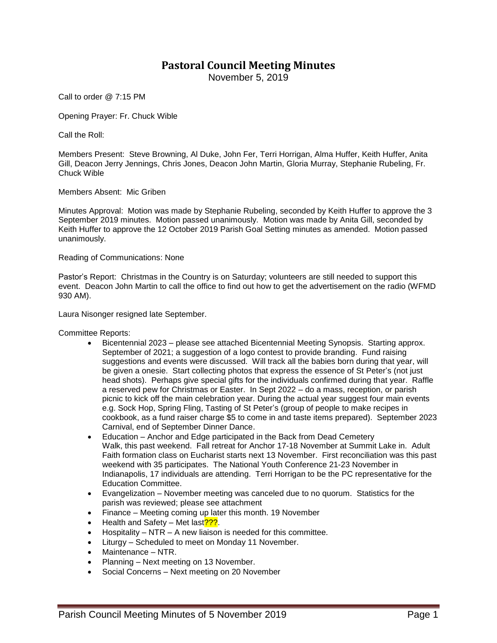## **Pastoral Council Meeting Minutes**

November 5, 2019

Call to order @ 7:15 PM

Opening Prayer: Fr. Chuck Wible

Call the Roll:

Members Present: Steve Browning, Al Duke, John Fer, Terri Horrigan, Alma Huffer, Keith Huffer, Anita Gill, Deacon Jerry Jennings, Chris Jones, Deacon John Martin, Gloria Murray, Stephanie Rubeling, Fr. Chuck Wible

Members Absent: Mic Griben

Minutes Approval: Motion was made by Stephanie Rubeling, seconded by Keith Huffer to approve the 3 September 2019 minutes. Motion passed unanimously. Motion was made by Anita Gill, seconded by Keith Huffer to approve the 12 October 2019 Parish Goal Setting minutes as amended. Motion passed unanimously.

Reading of Communications: None

Pastor's Report: Christmas in the Country is on Saturday; volunteers are still needed to support this event. Deacon John Martin to call the office to find out how to get the advertisement on the radio (WFMD 930 AM).

Laura Nisonger resigned late September.

Committee Reports:

- Bicentennial 2023 please see attached Bicentennial Meeting Synopsis. Starting approx. September of 2021; a suggestion of a logo contest to provide branding. Fund raising suggestions and events were discussed. Will track all the babies born during that year, will be given a onesie. Start collecting photos that express the essence of St Peter's (not just head shots). Perhaps give special gifts for the individuals confirmed during that year. Raffle a reserved pew for Christmas or Easter. In Sept 2022 – do a mass, reception, or parish picnic to kick off the main celebration year. During the actual year suggest four main events e.g. Sock Hop, Spring Fling, Tasting of St Peter's (group of people to make recipes in cookbook, as a fund raiser charge \$5 to come in and taste items prepared). September 2023 Carnival, end of September Dinner Dance.
- Education Anchor and Edge participated in the Back from Dead Cemetery Walk, this past weekend. Fall retreat for Anchor 17-18 November at Summit Lake in. Adult Faith formation class on Eucharist starts next 13 November. First reconciliation was this past weekend with 35 participates. The National Youth Conference 21-23 November in Indianapolis, 17 individuals are attending. Terri Horrigan to be the PC representative for the Education Committee.
- Evangelization November meeting was canceled due to no quorum. Statistics for the parish was reviewed; please see attachment
- Finance Meeting coming up later this month. 19 November
- Health and Safety Met last<sup>2??</sup>.
- Hospitality NTR A new liaison is needed for this committee.
- Liturgy Scheduled to meet on Monday 11 November.
- Maintenance NTR.
- Planning Next meeting on 13 November.
- Social Concerns Next meeting on 20 November